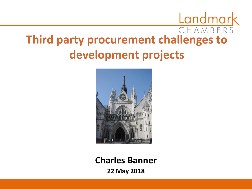### CHAMBERS **Third party procurement challenges to development projects**



#### **Charles Banner**

**22 May 2018**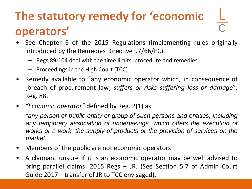#### **The statutory remedy for 'economic operators'**

- See Chapter 6 of the 2015 Regulations (implementing rules originally introduced by the Remedies Directive 97/66/EC).
	- Regs 89-104 deal with the time limits, procedure and remedies.
	- Proceedings in the High Court (TCC)
- Remedy available to "any economic operator which, in consequence of [breach of procurement law] *suffers or risks suffering loss or damage*": Reg. 88.
- *"Economic operator"* defined by Reg. 2(1) as:

*"any person or public entity or group of such persons and entities, including any temporary association of undertakings, which offers the execution of works or a work, the supply of products or the provision of services on the market."*

- Members of the public are not economic operators
- A claimant unsure if it is an economic operator may be well advised to bring parallel claims: 2015 Regs + JR. (See Section 5.7 of Admin Court Guide 2017 – transfer of JR to TCC envisaged).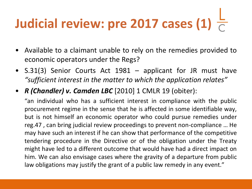## **Judicial review: pre 2017 cases (1)**

- Available to a claimant unable to rely on the remedies provided to economic operators under the Regs?
- S.31(3) Senior Courts Act 1981 applicant for JR must have *"sufficient interest in the matter to which the application relates"*
- *R (Chandler) v. Camden LBC* [2010] 1 CMLR 19 (obiter):

"an individual who has a sufficient interest in compliance with the public procurement regime in the sense that he is affected in some identifiable way, but is not himself an economic operator who could pursue remedies under reg.47 , can bring judicial review proceedings to prevent non-compliance … He may have such an interest if he can show that performance of the competitive tendering procedure in the Directive or of the obligation under the Treaty might have led to a different outcome that would have had a direct impact on him. We can also envisage cases where the gravity of a departure from public law obligations may justify the grant of a public law remedy in any event."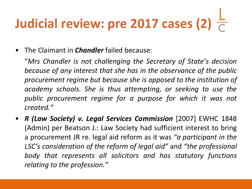### **Judicial review: pre 2017 cases (2)**

• The Claimant in *Chandler* failed because:

"*Mrs Chandler is not challenging the Secretary of State's decision because of any interest that she has in the observance of the public procurement regime but because she is opposed to the institution of academy schools. She is thus attempting, or seeking to use the public procurement regime for a purpose for which it was not created."*

• *R (Law Society) v. Legal Services Commission* [2007] EWHC 1848 (Admin) per Beatson J.: Law Society had sufficient interest to bring a procurement JR re. legal aid reform as it was *"a participant in the LSC's consideration of the reform of legal aid"* and *"the professional body that represents all solicitors and has statutory functions relating to the profession."*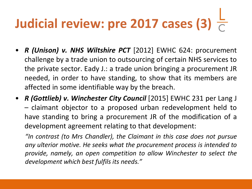### **Judicial review: pre 2017 cases (3)**

- *R (Unison) v. NHS Wiltshire PCT* [2012] EWHC 624: procurement challenge by a trade union to outsourcing of certain NHS services to the private sector. Eady J.: a trade union bringing a procurement JR needed, in order to have standing, to show that its members are affected in some identifiable way by the breach.
- *R (Gottlieb) v. Winchester City Council* [2015] EWHC 231 per Lang J – claimant objector to a proposed urban redevelopment held to have standing to bring a procurement JR of the modification of a development agreement relating to that development:

*"In contrast (to Mrs Chandler), the Claimant in this case does not pursue any ulterior motive. He seeks what the procurement process is intended to provide, namely, an open competition to allow Winchester to select the development which best fulfils its needs."*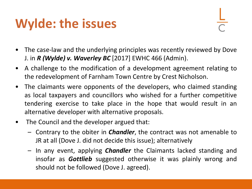#### **Wylde: the issues**

- The case-law and the underlying principles was recently reviewed by Dove J. in *R (Wylde) v. Waverley BC* [2017] EWHC 466 (Admin).
- A challenge to the modification of a development agreement relating to the redevelopment of Farnham Town Centre by Crest Nicholson.
- The claimants were opponents of the developers, who claimed standing as local taxpayers and councillors who wished for a further competitive tendering exercise to take place in the hope that would result in an alternative developer with alternative proposals.
- The Council and the developer argued that:
	- Contrary to the obiter in *Chandler*, the contract was not amenable to JR at all (Dove J. did not decide this issue); alternatively
	- In any event, applying *Chandler* the Claimants lacked standing and insofar as *Gottlieb* suggested otherwise it was plainly wrong and should not be followed (Dove J. agreed).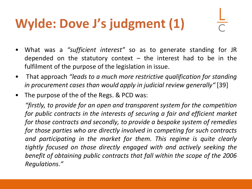#### **Wylde: Dove J's judgment (1)**

- What was a *"sufficient interest"* so as to generate standing for JR depended on the statutory context  $-$  the interest had to be in the fulfilment of the purpose of the legislation in issue.
- That approach *"leads to a much more restrictive qualification for standing in procurement cases than would apply in judicial review generally"* [39]
- The purpose of the of the Regs. & PCD was:

*"firstly, to provide for an open and transparent system for the competition for public contracts in the interests of securing a fair and efficient market for those contracts and secondly, to provide a bespoke system of remedies for those parties who are directly involved in competing for such contracts and participating in the market for them. This regime is quite clearly tightly focused on those directly engaged with and actively seeking the benefit of obtaining public contracts that fall within the scope of the 2006 Regulations."*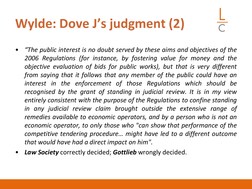#### **Wylde: Dove J's judgment (2)**

- *"The public interest is no doubt served by these aims and objectives of the 2006 Regulations (for instance, by fostering value for money and the objective evaluation of bids for public works), but that is very different from saying that it follows that any member of the public could have an interest in the enforcement of those Regulations which should be recognised by the grant of standing in judicial review. It is in my view entirely consistent with the purpose of the Regulations to confine standing in any judicial review claim brought outside the extensive range of remedies available to economic operators, and by a person who is not an economic operator, to only those who "can show that performance of the competitive tendering procedure… might have led to a different outcome that would have had a direct impact on him".*
- *Law Society* correctly decided; *Gottlieb* wrongly decided.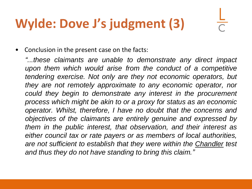#### **Wylde: Dove J's judgment (3)**

• Conclusion in the present case on the facts:

*"...these claimants are unable to demonstrate any direct impact upon them which would arise from the conduct of a competitive tendering exercise. Not only are they not economic operators, but they are not remotely approximate to any economic operator, nor could they begin to demonstrate any interest in the procurement process which might be akin to or a proxy for status as an economic operator. Whilst, therefore, I have no doubt that the concerns and objectives of the claimants are entirely genuine and expressed by them in the public interest, that observation, and their interest as either council tax or rate payers or as members of local authorities, are not sufficient to establish that they were within the Chandler test and thus they do not have standing to bring this claim."*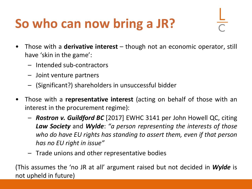#### **So who can now bring a JR?**

- Those with a **derivative interest** though not an economic operator, still have 'skin in the game':
	- Intended sub-contractors
	- Joint venture partners
	- (Significant?) shareholders in unsuccessful bidder
- Those with a **representative interest** (acting on behalf of those with an interest in the procurement regime):
	- *Rostron v. Guildford BC* [2017] EWHC 3141 per John Howell QC, citing *Law Society* and *Wylde*: *"a person representing the interests of those who do have EU rights has standing to assert them, even if that person has no EU right in issue"*
	- Trade unions and other representative bodies

(This assumes the 'no JR at all' argument raised but not decided in *Wylde* is not upheld in future)